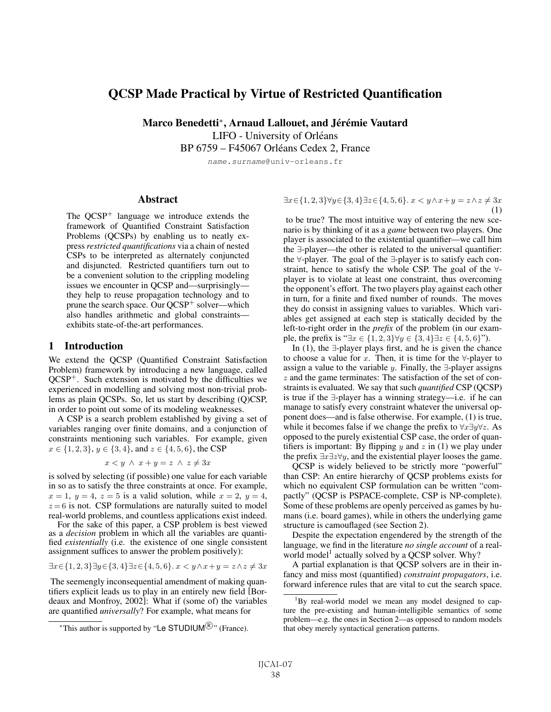# QCSP Made Practical by Virtue of Restricted Quantification

Marco Benedetti\*, Arnaud Lallouet, and Jérémie Vautard

LIFO - University of Orléans

BP 6759 – F45067 Orleans Cedex 2, France ´

name.surname@univ-orleans.fr

### Abstract

The  $QCSP<sup>+</sup>$  language we introduce extends the framework of Quantified Constraint Satisfaction Problems (QCSPs) by enabling us to neatly express *restricted quantifications* via a chain of nested CSPs to be interpreted as alternately conjuncted and disjuncted. Restricted quantifiers turn out to be a convenient solution to the crippling modeling issues we encounter in QCSP and—surprisingly they help to reuse propagation technology and to prune the search space. Our  $QCSP<sup>+</sup>$  solver—which also handles arithmetic and global constraints exhibits state-of-the-art performances.

#### 1 Introduction

We extend the QCSP (Quantified Constraint Satisfaction Problem) framework by introducing a new language, called  $QCSP<sup>+</sup>$ . Such extension is motivated by the difficulties we experienced in modelling and solving most non-trivial problems as plain QCSPs. So, let us start by describing (Q)CSP, in order to point out some of its modeling weaknesses.

A CSP is a search problem established by giving a set of variables ranging over finite domains, and a conjunction of constraints mentioning such variables. For example, given  $x \in \{1, 2, 3\}, y \in \{3, 4\}, \text{ and } z \in \{4, 5, 6\}, \text{ the CSP }$ 

$$
x < y \ \land \ x + y = z \ \land \ z \neq 3x
$$

is solved by selecting (if possible) one value for each variable in so as to satisfy the three constraints at once. For example,  $x = 1$ ,  $y = 4$ ,  $z = 5$  is a valid solution, while  $x = 2$ ,  $y = 4$ ,  $z = 6$  is not. CSP formulations are naturally suited to model real-world problems, and countless applications exist indeed.

For the sake of this paper, a CSP problem is best viewed as a *decision* problem in which all the variables are quantified *existentially* (i.e. the existence of one single consistent assignment suffices to answer the problem positively):

$$
\exists x \in \{1,2,3\} \exists y \in \{3,4\} \exists z \in \{4,5,6\}. \ x < y \land x + y = z \land z \neq 3x
$$

The seemengly inconsequential amendment of making quantifiers explicit leads us to play in an entirely new field [Bordeaux and Monfroy, 2002]: What if (some of) the variables are quantified *universally*? For example, what means for

 $\exists x \in \{1, 2, 3\} \forall y \in \{3, 4\} \exists z \in \{4, 5, 6\}$ .  $x < y \wedge x + y = z \wedge z \neq 3x$ (1)

to be true? The most intuitive way of entering the new scenario is by thinking of it as a *game* between two players. One player is associated to the existential quantifier—we call him the ∃-player—the other is related to the universal quantifier: the ∀-player. The goal of the ∃-player is to satisfy each constraint, hence to satisfy the whole CSP. The goal of the ∀ player is to violate at least one constraint, thus overcoming the opponent's effort. The two players play against each other in turn, for a finite and fixed number of rounds. The moves they do consist in assigning values to variables. Which variables get assigned at each step is statically decided by the left-to-right order in the *prefix* of the problem (in our example, the prefix is " $\exists x \in \{1, 2, 3\} \forall y \in \{3, 4\} \exists z \in \{4, 5, 6\}$ ").

In (1), the ∃-player plays first, and he is given the chance to choose a value for x. Then, it is time for the  $\forall$ -player to assign a value to the variable y. Finally, the  $\exists$ -player assigns z and the game terminates: The satisfaction of the set of constraints is evaluated. We say that such *quantified* CSP (QCSP) is true if the ∃-player has a winning strategy—i.e. if he can manage to satisfy every constraint whatever the universal opponent does—and is false otherwise. For example, (1) is true, while it becomes false if we change the prefix to  $\forall x \exists y \forall z$ . As opposed to the purely existential CSP case, the order of quantifiers is important: By flipping  $y$  and  $z$  in (1) we play under the prefix  $\exists x \exists z \forall y$ , and the existential player looses the game.

QCSP is widely believed to be strictly more "powerful" than CSP: An entire hierarchy of QCSP problems exists for which no equivalent CSP formulation can be written "compactly" (QCSP is PSPACE-complete, CSP is NP-complete). Some of these problems are openly perceived as games by humans (i.e. board games), while in others the underlying game structure is camouflaged (see Section 2).

Despite the expectation engendered by the strength of the language, we find in the literature *no single account* of a realworld model<sup>1</sup> actually solved by a OCSP solver. Why?

A partial explanation is that QCSP solvers are in their infancy and miss most (quantified) *constraint propagators*, i.e. forward inference rules that are vital to cut the search space.

<sup>\*</sup>This author is supported by "Le STUDIUM $^{\circledR}$ " (France).

<sup>&</sup>lt;sup>1</sup>By real-world model we mean any model designed to capture the pre-existing and human-intelligible semantics of some problem—e.g. the ones in Section 2—as opposed to random models that obey merely syntactical generation patterns.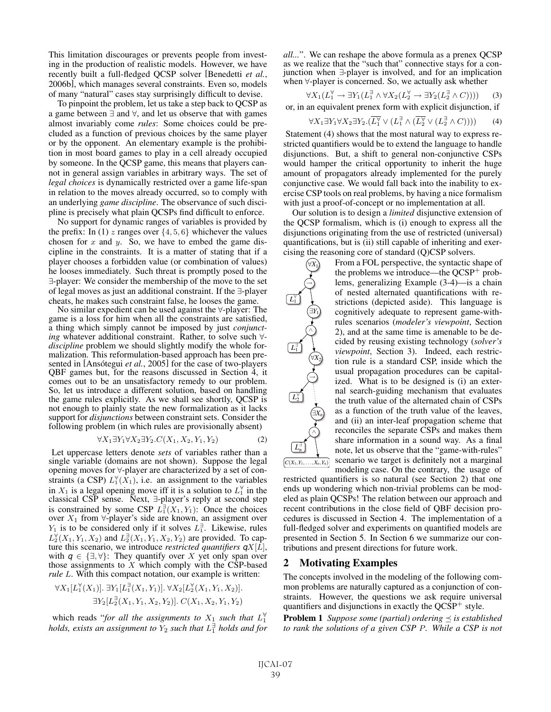This limitation discourages or prevents people from investing in the production of realistic models. However, we have recently built a full-fledged QCSP solver [Benedetti *et al.*, 2006b], which manages several constraints. Even so, models of many "natural" cases stay surprisingly difficult to devise.

To pinpoint the problem, let us take a step back to QCSP as a game between ∃ and ∀, and let us observe that with games almost invariably come *rules*: Some choices could be precluded as a function of previous choices by the same player or by the opponent. An elementary example is the prohibition in most board games to play in a cell already occupied by someone. In the QCSP game, this means that players cannot in general assign variables in arbitrary ways. The set of *legal choices* is dynamically restricted over a game life-span in relation to the moves already occurred, so to comply with an underlying *game discipline*. The observance of such discipline is precisely what plain QCSPs find difficult to enforce.

No support for dynamic ranges of variables is provided by the prefix: In (1) z ranges over  $\{4, 5, 6\}$  whichever the values chosen for  $x$  and  $y$ . So, we have to embed the game discipline in the constraints. It is a matter of stating that if a player chooses a forbidden value (or combination of values) he looses immediately. Such threat is promptly posed to the ∃-player: We consider the membership of the move to the set of legal moves as just an additional constraint. If the ∃-player cheats, he makes such constraint false, he looses the game.

No similar expedient can be used against the ∀-player: The game is a loss for him when all the constraints are satisfied, a thing which simply cannot be imposed by just *conjunctdiscipline* problem we should slightly modify the whole formalization. This reformulation-based approach has been presented in [Ansótegui et al., 2005] for the case of two-players QBF games but, for the reasons discussed in Section 4, it comes out to be an unsatisfactory remedy to our problem. So, let us introduce a different solution, based on handling the game rules explicitly. As we shall see shortly, QCSP is not enough to plainly state the new formalization as it lacks support for *disjunctions* between constraint sets. Consider the following problem (in which rules are provisionally absent)

$$
\forall X_1 \exists Y_1 \forall X_2 \exists Y_2 \dots C(X_1, X_2, Y_1, Y_2) \tag{2}
$$

Let uppercase letters denote *sets* of variables rather than a single variable (domains are not shown). Suppose the legal opening moves for ∀-player are characterized by a set of constraints (a CSP)  $L_1^{\forall}(X_1)$ , i.e. an assignment to the variables in  $X_1$  is a legal opening move iff it is a solution to  $L_1^{\forall}$  in the classical CSP sense. Next, ∃-player's reply at second step is constrained by some CSP  $L_1^{\exists}(X_1, Y_1)$ : Once the choices over  $X_1$  from  $\forall$ -player's side are known, an assigment over  $Y_1$  is to be considered only if it solves  $L_1^{\exists}$ . Likewise, rules  $L_2^{\forall}(X_1, Y_1, X_2)$  and  $L_2^{\exists}(X_1, Y_1, X_2, Y_2)$  are provided. To capture this scenario, we introduce *restricted quantifiers*  $qX[\overline{L}]$ , with  $q \in {\exists, \forall}$ : They quantify over X yet only span over those assignments to  $X$  which comply with the CSP-based *rule* L. With this compact notation, our example is written:

$$
\forall X_1[L_1^{\forall}(X_1)]. \ \exists Y_1[L_1^{\exists}(X_1, Y_1)]. \ \forall X_2[L_2^{\forall}(X_1, Y_1, X_2)].
$$
  

$$
\exists Y_2[L_2^{\exists}(X_1, Y_1, X_2, Y_2)]. \ C(X_1, X_2, Y_1, Y_2)
$$

which reads "*for all the assignments to*  $X_1$  *such that*  $L_1^{\nabla}$  *holds, exists an assignment to*  $Y_2$  *such that*  $L_1^{\nabla}$  *holds and for* 

*all...*". We can reshape the above formula as a prenex QCSP as we realize that the "such that" connective stays for a conjunction when ∃-player is involved, and for an implication when ∀-player is concerned. So, we actually ask whether

$$
\forall X_1(L_1^{\forall} \to \exists Y_1(L_1^{\exists} \land \forall X_2(L_2^{\forall} \to \exists Y_2(L_2^{\exists} \land C)))) \tag{3}
$$

or, in an equivalent prenex form with explicit disjunction, if

$$
\forall X_1 \exists Y_1 \forall X_2 \exists Y_2. (\overline{L_1^{\vee}} \vee (L_1^{\exists} \wedge (\overline{L_2^{\vee}} \vee (L_2^{\exists} \wedge C)))) \qquad (4)
$$

Statement (4) shows that the most natural way to express restricted quantifiers would be to extend the language to handle disjunctions. But, a shift to general non-conjunctive CSPs would hamper the critical opportunity to inherit the huge amount of propagators already implemented for the purely conjunctive case. We would fall back into the inability to exercise CSP tools on real problems, by having a nice formalism with just a proof-of-concept or no implementation at all.

Our solution is to design a *limited* disjunctive extension of the QCSP formalism, which is (i) enough to express all the disjunctions originating from the use of restricted (universal) quantifications, but is (ii) still capable of inheriting and exercising the reasoning core of standard (Q)CSP solvers.

> From a FOL perspective, the syntactic shape of the problems we introduce—the  $QCSP<sup>+</sup>$  problems, generalizing Example (3-4)—is a chain of nested alternated quantifications with restrictions (depicted aside). This language is cognitively adequate to represent game-withrules scenarios (*modeler's viewpoint*, Section 2), and at the same time is amenable to be decided by reusing existing technology (*solver's viewpoint*, Section 3). Indeed, each restriction rule is a standard CSP, inside which the usual propagation procedures can be capitalized. What is to be designed is (i) an external search-guiding mechanism that evaluates the truth value of the alternated chain of CSPs as a function of the truth value of the leaves, and (ii) an inter-leaf propagation scheme that reconciles the separate CSPs and makes them share information in a sound way. As a final note, let us observe that the "game-with-rules" scenario we target is definitely not a marginal

*L*∃ *n*  $C(X_1, Y_1, \ldots, X_n, Y_n)$ 

∃*Y*<sup>1</sup>

∧<br>.

∀*X*<sup>2</sup>

→

∃*Xn*

∧

∀*X*<sup>1</sup>

→

*L*∀ 1

> *L*∃ 1

> > *L*∀ 2

modeling case. On the contrary, the usage of restricted quantifiers is so natural (see Section 2) that one ends up wondering which non-trivial problems can be modeled as plain QCSPs! The relation between our approach and recent contributions in the close field of QBF decision procedures is discussed in Section 4. The implementation of a full-fledged solver and experiments on quantified models are presented in Section 5. In Section 6 we summarize our contributions and present directions for future work.

### 2 Motivating Examples

The concepts involved in the modeling of the following common problems are naturally captured as a conjunction of constraints. However, the questions we ask require universal quantifiers and disjunctions in exactly the  $QCSP<sup>+</sup>$  style.

**Problem 1** *Suppose some (partial) ordering*  $\leq$  *is established to rank the solutions of a given CSP* P*. While a CSP is not*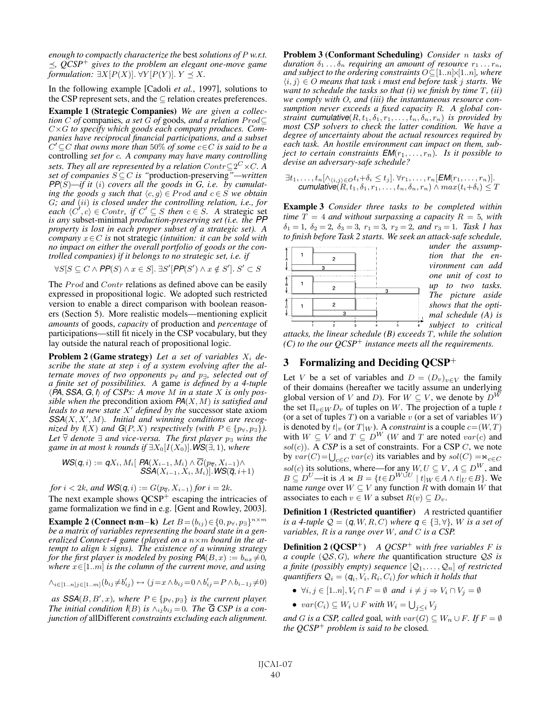*enough to compactly characterize the* best*solutions of* P *w.r.t.*  $\leq$ ,  $QCSP^+$  gives to the problem an elegant one-move game *formulation:*  $\exists X[P(X)]$ .  $\forall Y[P(Y)]$ .  $Y \preceq X$ .

In the following example [Cadoli *et al.*, 1997], solutions to the CSP represent sets, and the  $\subseteq$  relation creates preferences.

Example 1 (Strategic Companies) *We are given a collection* C of companies, a set G of goods, and a relation  $Prod ⊆$ C×G *to specify which goods each company produces. Companies have reciprocal financial participations, and a subset* C ⊆C *that owns more than* 50% *of some* c∈C *is said to be a* controlling *set for* c*. A company may have many controlling sets. They all are represented by a relation*  $Contr \subseteq 2^C \times C$ *. A set of companies* S ⊆C *is "*production-preserving*"—written*  $PP(S)$ —if it (i) covers all the goods in G, i.e. by cumulat*ing the goods g such that*  $\langle c, g \rangle \in \text{Prod}$  *and*  $c \in S$  *we obtain* G*; and* (ii) *is closed under the controlling relation, i.e., for each*  $\langle C', c \rangle$  ∈ *Contr, if*  $C' \subseteq S$  *then*  $c \in S$ *. A* strategic set *is any* subset-minimal *production-preserving set (i.e. the PP property is lost in each proper subset of a strategic set). A company* x∈C *is* not strategic *(intuition: it can be sold with no impact on either the overall portfolio of goods or the controlled companies) if it belongs to no strategic set, i.e. if*

$$
\forall S[S \subseteq C \land \mathsf{PP}(S) \land x \in S]. \exists S'[PP(S') \land x \notin S']. S' \subset S
$$

The *Prod* and *Contr* relations as defined above can be easily expressed in propositional logic. We adopted such restricted version to enable a direct comparison with boolean reasoners (Section 5). More realistic models—mentioning explicit *amounts* of goods, *capacity* of production and *percentage* of participations—still fit nicely in the CSP vocabulary, but they lay outside the natural reach of propositional logic.

Problem 2 (Game strategy) Let a set of variables  $X_i$  de*scribe the state at step* i *of a system evolving after the alternate moves of two opponents*  $p_{\forall}$  *and*  $p_{\exists}$ *, selected out of a finite set of possibilities. A* game *is defined by a 4-tuple PA*, *SSA*, *G*, *I of CSPs: A move* M *in a state* X *is only possible when the* precondition axiom *PA*(X,M) *is satisfied and leads to a new state* X' *defined by the* successor state axiom SSA(X, X', M). Initial and winning conditions are recog*nized by*  $I(X)$  *and*  $G(P, X)$  *respectively (with*  $P \in \{p_{\forall}, p_{\exists}\}\$ . *Let*  $\overline{\forall}$  *denote*  $\exists$  *and vice-versa. The first player*  $p_{\exists}$  *wins the game in at most k rounds if*  $\exists X_0[I(X_0)]$ *. WS*( $\exists$ , 1)*, where* 

$$
\mathsf{WS}(q, i) := qX_i, M_i[ \; \mathsf{PA}(X_{i-1}, M_i) \wedge \overline{G}(p_{\overline{q}}, X_{i-1}) \wedge \\ \mathsf{SSA}(X_{i-1}, X_i, M_i)]. \mathsf{WS}(\overline{q}, i+1)
$$

*for*  $i < 2k$ *, and*  $WS(q, i) := G(p_{\overline{q}}, X_{i-1})$  *for*  $i = 2k$ *.* The next example shows  $QCSP<sup>+</sup>$  escaping the intricacies of game formalization we find in e.g. [Gent and Rowley, 2003].

**Example 2 (Connect n×m−k)** Let  $B = (b_{ij}) \in \{0, p_{\forall}, p_{\exists}\}^{n \times m}$ *be a matrix of variables representing the board state in a generalized Connect-4 game (played on a* n×m *board in the attempt to align* k *signs). The existence of a winning strategy for the first player is modeled by posing*  $PA(B, x) := b_{nx} \neq 0$ *, where* x∈[1..m] *is the column of the current move, and using*

$$
\wedge_{i\in[1..n]}\sum_{j\in[1..m]}(b_{ij}\neq b'_{ij})\leftrightarrow (j=x\wedge b_{ij}=0\wedge b'_{ij}=P\wedge b_{i-1,j}\neq 0)
$$

as  $SSA(B, B', x)$ , where  $P \in \{p_{\forall}, p_{\exists}\}\$ is the current player. *The initial condition*  $I(B)$  *is*  $\wedge_{ij} b_{ij} = 0$ *. The*  $\overline{G}$  *CSP is a conjunction of* allDifferent *constraints excluding each alignment.* Problem 3 (Conformant Scheduling) *Consider* n *tasks of duration*  $\delta_1 \ldots \delta_n$  *requiring an amount of resource*  $r_1 \ldots r_n$ *, and subject to the ordering constraints*  $O \subseteq [1..n] \times [1..n]$ *, where*  $\langle i, j \rangle \in O$  *means that task i must end before task j starts. We want to schedule the tasks so that (i) we finish by time* T*, (ii) we comply with* O*, and (iii) the instantaneous resource consumption never exceeds a fixed capacity* R*. A global constraint cumulative*( $R, t_1, \delta_1, r_1, \ldots, t_n, \delta_n, r_n$ ) *is provided by most CSP solvers to check the latter condition. We have a degree of uncertainty about the actual resources required by each task. An hostile environment can impact on them, subject to certain constraints*  $EM(r_1,...,r_n)$ *. Is it possible to devise an adversary-safe schedule?*

 $\exists t_1,\ldots,t_n[\wedge_{\langle i,j\rangle\in O}t_i+\delta_i\leq t_j].\ \forall r_1,\ldots,r_n[\textsf{EM}(r_1,\ldots,r_n)].$ *cumulative* $(R, t_1, \delta_1, r_1, \ldots, t_n, \delta_n, r_n) \wedge max(t_i+\delta_i) \leq T$ 

Example 3 *Consider three tasks to be completed within time*  $T = 4$  *and without surpassing a capacity*  $R = 5$ *, with*  $\delta_1 = 1$ ,  $\delta_2 = 2$ ,  $\delta_3 = 3$ ,  $r_1 = 3$ ,  $r_2 = 2$ , and  $r_3 = 1$ . Task 1 has *to finish before Task 2 starts. We seek an attack-safe schedule,*



*under the assumption that the environment can add one unit of cost to up to two tasks. The picture aside shows that the optimal schedule (A) is subject to critical*

*attacks, the linear schedule (B) exceeds* T*, while the solution (C) to the our QCSP*<sup>+</sup> *instance meets all the requirements.*

### 3 Formalizing and Deciding  $QCSP<sup>+</sup>$

Let V be a set of variables and  $D = (D_v)_{v \in V}$  the family of their domains (hereafter we tacitly assume an underlying global version of V and D). For  $W \subseteq V$ , we denote by  $D^{\overline{W}}$ the set  $\Pi_{v \in W} D_v$  of tuples on W. The projection of a tuple t (or a set of tuples T) on a variable v (or a set of variables  $W$ ) is denoted by  $t|_v$  (or  $T|_W$ ). A *constraint* is a couple  $c=(W, T)$ with  $W \subseteq V$  and  $T \subseteq D^W$  (W and T are noted  $var(c)$  and  $sol(c)$ ). A *CSP* is a set of constraints. For a CSP  $C$ , we note by  $var(C) = \bigcup_{c \in C} var(c)$  its variables and by  $sol(C) = \mathbb{R}_{c \in C}$ sol(c) its solutions, where—for any  $W, U \subseteq V, A \subseteq D^W$ , and  $B \subseteq D^U$ —it is  $A \Join B = \{t \in D^{W \cup U} \mid t|_W \in A \land t|_U \in B\}$ . We name *range* over  $W \subseteq V$  any function R with domain W that associates to each  $v \in W$  a subset  $R(v) \subseteq D_v$ .

**Definition 1 (Restricted quantifier)** *A* restricted quantifier *is a 4-tuple*  $\mathcal{Q} = (q, W, R, C)$  *where*  $q \in \{\exists, \forall\}$ *, W is a set of variables,* R *is a range over* W*, and* C *is a CSP.*

**Definition 2 (QCSP**<sup>+</sup>) *A QCSP*<sup>+</sup> *with free variables F is a couple* (QS, G)*, where the* quantification structure QS *is a finite (possibly empty) sequence*  $[Q_1, \ldots, Q_n]$  *of restricted quantifiers*  $\mathcal{Q}_i = (q_i, V_i, R_i, C_i)$  *for which it holds that* 

- $\forall i, j \in [1..n], V_i \cap F = \emptyset$  *and*  $i \neq j \Rightarrow V_i \cap V_j = \emptyset$
- $var(C_i) \subseteq W_i \cup F$  with  $W_i = \bigcup_{j \leq i} V_j$

*and G is a CSP, called* goal, *with*  $var(G) \subseteq W_n \cup F$ *. If*  $F = \emptyset$ *the QCSP*<sup>+</sup> *problem is said to be* closed*.*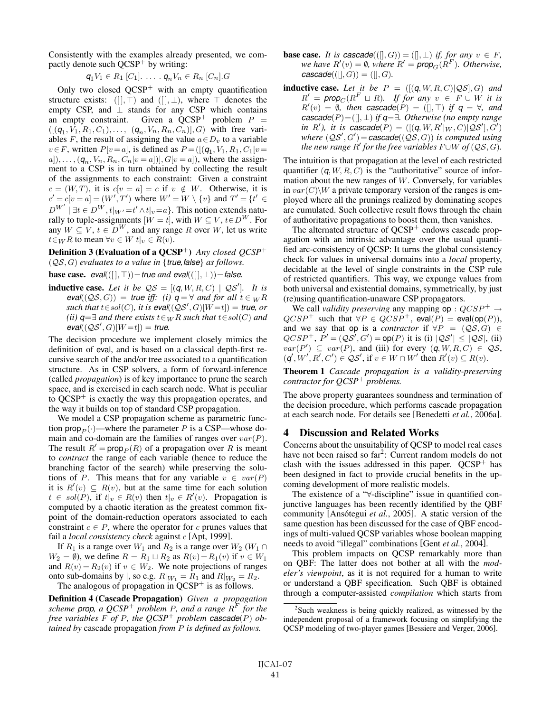Consistently with the examples already presented, we compactly denote such QCSP<sup>+</sup> by writing:

$$
q_1V_1 \in R_1 [C_1]. \ldots . q_nV_n \in R_n [C_n].G
$$

Only two closed  $QCSP<sup>+</sup>$  with an empty quantification structure exists:  $([ \, ] , \top )$  and  $([ \, ] , \bot )$ , where  $\top$  denotes the empty CSP, and  $\perp$  stands for any CSP which contains an empty constraint. Given a  $QCSP^+$  problem  $P =$  $([({\bf q}_1, V_1, R_1, C_1), \ldots, ({\bf q}_n, V_n, R_n, C_n)], G)$  with free variables F, the result of assigning the value  $a \in D<sub>v</sub>$  to a variable  $v \in F$ , written  $P[v = a]$ , is defined as  $P = \left(\left[\left(q_1, V_1, R_1, C_1\right]v = \right]\right)$  $a|), \ldots, (q_n, V_n, R_n, C_n[v = a]), G[v = a]),$  where the assignment to a CSP is in turn obtained by collecting the result of the assignments to each constraint: Given a constraint  $c = (W, T)$ , it is  $c[v = a] = c$  if  $v \notin W$ . Otherwise, it is  $c' = c[v = a] = (W', T')$  where  $W' = W \setminus \{v\}$  and  $T' = \{t' \in$  $D^{W'} | \exists t \in D^{W}, t |_{W'} = t' \wedge t |_{v} = a$ . This notion extends naturally to tuple-assignments  $[W = t]$ , with  $W \subseteq V$ ,  $t \in D^W$ . For any  $W \subset V$ ,  $t \in D^W$ , and any range R over W, let us write  $t \in_W R$  to mean  $\forall v \in W$   $t|_v \in R(v)$ .

Definition 3 (Evaluation of a QCSP<sup>+</sup>) *Any closed QCSP*<sup>+</sup> (QS, G) *evaluates to a value in* {*true,false*} *as follows.*

**base case.**  $eval((\lceil \cdot \rceil, \top)) = true$  *and*  $eval((\lceil \cdot \rceil, \bot)) = false$ *.* 

**inductive case.** Let it be  $QS = [(q, W, R, C) | QS']$ . It is *eval*(( $QS$ , *G*)) = *true iff:* (*i*)  $q = \forall$  *and for all*  $t \in {}_W R$  $such that t \in sol(C), it is  $eval((\mathcal{Q}S',G)[W=t]) = true, or$$ *(ii)*  $q=∃$  *and there exists*  $t∈_W R$  *such that*  $t∈sol(C)$  *and*  $eval((\mathcal{Q}S',G)[W=t]) = true.$ 

The decision procedure we implement closely mimics the definition of eval, and is based on a classical depth-first recursive search of the and/or tree associated to a quantification structure. As in CSP solvers, a form of forward-inference (called *propagation*) is of key importance to prune the search space, and is exercised in each search node. What is peculiar to  $QCSP<sup>+</sup>$  is exactly the way this propagation operates, and the way it builds on top of standard CSP propagation.

We model a CSP propagation scheme as parametric function prop<sub>p</sub> $(\cdot)$ —where the parameter P is a CSP—whose domain and co-domain are the families of ranges over  $var(P)$ . The result  $R' = \text{prop}_P(R)$  of a propagation over R is meant to *contract* the range of each variable (hence to reduce the branching factor of the search) while preserving the solutions of P. This means that for any variable  $v \in var(P)$ it is  $R'(v) \subseteq R(v)$ , but at the same time for each solution  $t \in sol(P)$ , if  $t|_v \in R(v)$  then  $t|_v \in R'(v)$ . Propagation is computed by a chaotic iteration as the greatest common fixpoint of the domain-reduction operators associated to each constraint  $c \in P$ , where the operator for c prunes values that fail a *local consistency check* against c [Apt, 1999].

If  $R_1$  is a range over  $W_1$  and  $R_2$  is a range over  $W_2$  ( $W_1 \cap$  $W_2 = \emptyset$ , we define  $R = R_1 \sqcup R_2$  as  $R(v) = R_1(v)$  if  $v \in W_1$ and  $R(v) = R_2(v)$  if  $v \in W_2$ . We note projections of ranges onto sub-domains by |, so e.g.  $R|_{W_1} = R_1$  and  $R|_{W_2} = R_2$ .

The analogous of propagation in  $OCSP<sup>+</sup>$  is as follows.

Definition 4 (Cascade Propagation) *Given a propagation scheme prop*, a  $QCSP^+$  *problem P*, and a range  $R^F$  for the *free variables*  $F$  *of*  $P$ *, the QCSP<sup>+</sup> problem cascade*( $P$ ) *obtained by* cascade propagation *from* P *is defined as follows.*

- **base case.** *It is cascade*(( $[|, G$ )) = ( $[|, \perp$ ) *if, for any*  $v \in F$ , *we have*  $R'(v) = \emptyset$ *, where*  $R' = \text{prop}_G(R^F)$ *. Otherwise,*  $\textit{cascade}(([], G)) = ([], G)$ .
- **inductive case.** Let it be  $P = ([(q, W, R, C)|\mathcal{QS}], G)$  and  $R' = \text{prop}_C(R^F \sqcup R)$ *. If for any*  $v \in F \cup W$  *it is*  $R'(v) = \emptyset$ , then **cascade**(P) = ([], T) if  $q = \forall$ , and *cascade*(P)=([], ⊥) *if q*=∃*. Otherwise (no empty range in* R', *it is cascade*( $P$ ) = ([ $(q, W, R'|_W, C)$ ] $\mathcal{QS}'$ ],  $G'$ )  $where (QS', G') = cascade((QS, G))$  *is computed using the new range*  $R'$  *for the free variables*  $F \cup W$  *of* ( $\mathcal{QS}, G$ ).

The intuition is that propagation at the level of each restricted quantifier  $(q, W, R, C)$  is the "authoritative" source of information about the new ranges of W. Conversely, for variables in  $var(C)\$  a private temporary version of the ranges is employed where all the prunings realized by dominating scopes are cumulated. Such collective result flows through the chain of authoritative propagations to boost them, then vanishes.

The alternated structure of QCSP<sup>+</sup> endows cascade propagation with an intrinsic advantage over the usual quantified arc-consistency of QCSP: It turns the global consistency check for values in universal domains into a *local* property, decidable at the level of single constraints in the CSP rule of restricted quantifiers. This way, we expunge values from both universal and existential domains, symmetrically, by just (re)using quantification-unaware CSP propagators.

We call *validity preserving* any mapping op :  $QCSP^+ \rightarrow$  $QCSP^+$  such that  $\forall P \in QCSP^+$ , eval $(P) = \text{eval}(\text{op}(P)),$ and we say that op is a *contractor* if  $\forall P = (QS, G) \in$  $QCSP^+$ ,  $P' = (QS', G') = op(P)$  it is (i)  $|QS'| \leq |QS|$ , (ii)  $var(P') \subseteq var(P)$ , and (iii) for every  $(q, W, R, C) \in \mathcal{QS}$ ,  $(q', W', R', C') \in \mathcal{QS}'$ , if  $v \in W \cap W'$  then  $R'(v) \subseteq R(v)$ .

Theorem 1 *Cascade propagation is a validity-preserving contractor for QCSP*<sup>+</sup> *problems.*

The above property guarantees soundness and termination of the decision procedure, which performs cascade propagation at each search node. For details see [Benedetti *et al.*, 2006a].

### 4 Discussion and Related Works

Concerns about the unsuitability of QCSP to model real cases have not been raised so far<sup>2</sup>: Current random models do not clash with the issues addressed in this paper.  $QCSP<sup>+</sup>$  has been designed in fact to provide crucial benefits in the upcoming development of more realistic models.

The existence of a "∀-discipline" issue in quantified conjunctive languages has been recently identified by the QBF community [Ansótegui et al., 2005]. A static version of the same question has been discussed for the case of QBF encodings of multi-valued QCSP variables whose boolean mapping needs to avoid "illegal" combinations [Gent *et al.*, 2004].

This problem impacts on QCSP remarkably more than on QBF: The latter does not bother at all with the *modeler's viewpoint*, as it is not required for a human to write or understand a QBF specification. Such QBF is obtained through a computer-assisted *compilation* which starts from

<sup>&</sup>lt;sup>2</sup>Such weakness is being quickly realized, as witnessed by the independent proposal of a framework focusing on simplifying the QCSP modeling of two-player games [Bessiere and Verger, 2006].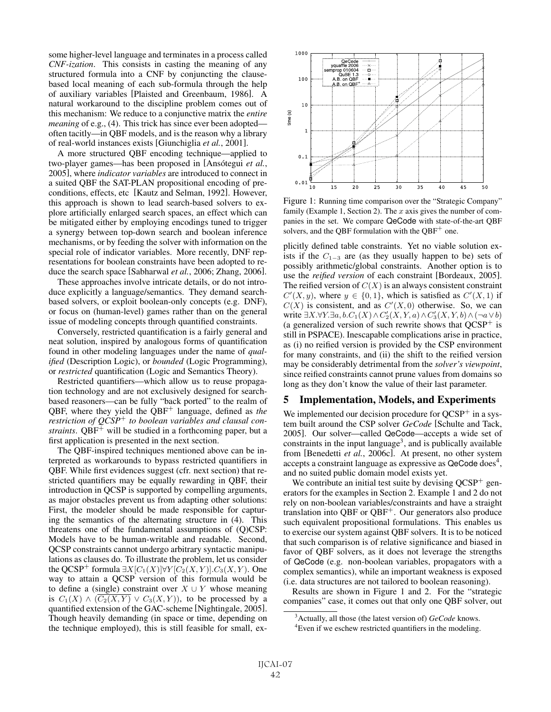some higher-level language and terminates in a process called *CNF-ization*. This consists in casting the meaning of any structured formula into a CNF by conjuncting the clausebased local meaning of each sub-formula through the help of auxiliary variables [Plaisted and Greenbaum, 1986]. A natural workaround to the discipline problem comes out of this mechanism: We reduce to a conjunctive matrix the *entire meaning* of e.g., (4). This trick has since ever been adopted often tacitly—in QBF models, and is the reason why a library of real-world instances exists [Giunchiglia *et al.*, 2001].

A more structured QBF encoding technique—applied to two-player games—has been proposed in [Ansótegui *et al.*, 2005], where *indicator variables* are introduced to connect in a suited QBF the SAT-PLAN propositional encoding of preconditions, effects, etc [Kautz and Selman, 1992]. However, this approach is shown to lead search-based solvers to explore artificially enlarged search spaces, an effect which can be mitigated either by employing encodings tuned to trigger a synergy between top-down search and boolean inference mechanisms, or by feeding the solver with information on the special role of indicator variables. More recently, DNF representations for boolean constraints have been adopted to reduce the search space [Sabharwal *et al.*, 2006; Zhang, 2006].

These approaches involve intricate details, or do not introduce explicitly a language/semantics. They demand searchbased solvers, or exploit boolean-only concepts (e.g. DNF), or focus on (human-level) games rather than on the general issue of modeling concepts through quantified constraints.

Conversely, restricted quantification is a fairly general and neat solution, inspired by analogous forms of quantification found in other modeling languages under the name of *qualified* (Description Logic), or *bounded* (Logic Programming), or *restricted* quantification (Logic and Semantics Theory).

Restricted quantifiers—which allow us to reuse propagation technology and are not exclusively designed for searchbased reasoners—can be fully "back ported" to the realm of QBF, where they yield the QBF<sup>+</sup> language, defined as *the restriction of QCSP*<sup>+</sup> *to boolean variables and clausal constraints*. QBF<sup>+</sup> will be studied in a forthcoming paper, but a first application is presented in the next section.

The QBF-inspired techniques mentioned above can be interpreted as workarounds to bypass restricted quantifiers in QBF. While first evidences suggest (cfr. next section) that restricted quantifiers may be equally rewarding in QBF, their introduction in QCSP is supported by compelling arguments, as major obstacles prevent us from adapting other solutions: First, the modeler should be made responsible for capturing the semantics of the alternating structure in (4). This threatens one of the fundamental assumptions of (Q)CSP: Models have to be human-writable and readable. Second, QCSP constraints cannot undergo arbitrary syntactic manipulations as clauses do. To illustrate the problem, let us consider the QCSP<sup>+</sup> formula  $\exists X[C_1(X)]\forall Y[C_2(X, Y)].C_3(X, Y).$  One way to attain a QCSP version of this formula would be to define a (single) constraint over  $X \cup Y$  whose meaning is  $C_1(X) \wedge (\overline{C_2(X,Y)} \vee C_3(X,Y))$ , to be processed by a quantified extension of the GAC-scheme [Nightingale, 2005]. Though heavily demanding (in space or time, depending on the technique employed), this is still feasible for small, ex-



Figure 1: Running time comparison over the "Strategic Company" family (Example 1, Section 2). The  $x$  axis gives the number of companies in the set. We compare QeCode with state-of-the-art QBF solvers, and the OBF formulation with the  $OBF<sup>+</sup>$  one.

plicitly defined table constraints. Yet no viable solution exists if the  $C_{1-3}$  are (as they usually happen to be) sets of possibly arithmetic/global constraints. Another option is to use the *reified version* of each constraint [Bordeaux, 2005]. The reified version of  $C(X)$  is an always consistent constraint  $C'(X, y)$ , where  $y \in \{0, 1\}$ , which is satisfied as  $C'(X, 1)$  if  $C(X)$  is consistent, and as  $C'(X, 0)$  otherwise. So, we can write  $\exists X. \forall Y. \exists a, b. C_1(X) \wedge C'_2(X, Y, a) \wedge C'_3(X, Y, b) \wedge (\neg a \vee b)$ (a generalized version of such rewrite shows that  $OCSP<sup>+</sup>$  is still in PSPACE). Inescapable complications arise in practice, as (i) no reified version is provided by the CSP environment for many constraints, and (ii) the shift to the reified version may be considerably detrimental from the *solver's viewpoint*, since reified constraints cannot prune values from domains so long as they don't know the value of their last parameter.

## 5 Implementation, Models, and Experiments

We implemented our decision procedure for  $QCSP<sup>+</sup>$  in a system built around the CSP solver *GeCode* [Schulte and Tack, 2005]. Our solver—called QeCode—accepts a wide set of constraints in the input language<sup>3</sup>, and is publically available from [Benedetti *et al.*, 2006c]. At present, no other system accepts a constraint language as expressive as QeCode does<sup>4</sup>, and no suited public domain model exists yet.

We contribute an initial test suite by devising  $QCSP<sup>+</sup>$  generators for the examples in Section 2. Example 1 and 2 do not rely on non-boolean variables/constraints and have a straight translation into QBF or  $QBF^+$ . Our generators also produce such equivalent propositional formulations. This enables us to exercise our system against QBF solvers. It is to be noticed that such comparison is of relative significance and biased in favor of QBF solvers, as it does not leverage the strengths of QeCode (e.g. non-boolean variables, propagators with a complex semantics), while an important weakness is exposed (i.e. data structures are not tailored to boolean reasoning).

Results are shown in Figure 1 and 2. For the "strategic companies" case, it comes out that only one QBF solver, out

<sup>3</sup> Actually, all those (the latest version of) *GeCode* knows.

<sup>&</sup>lt;sup>4</sup> Even if we eschew restricted quantifiers in the modeling.